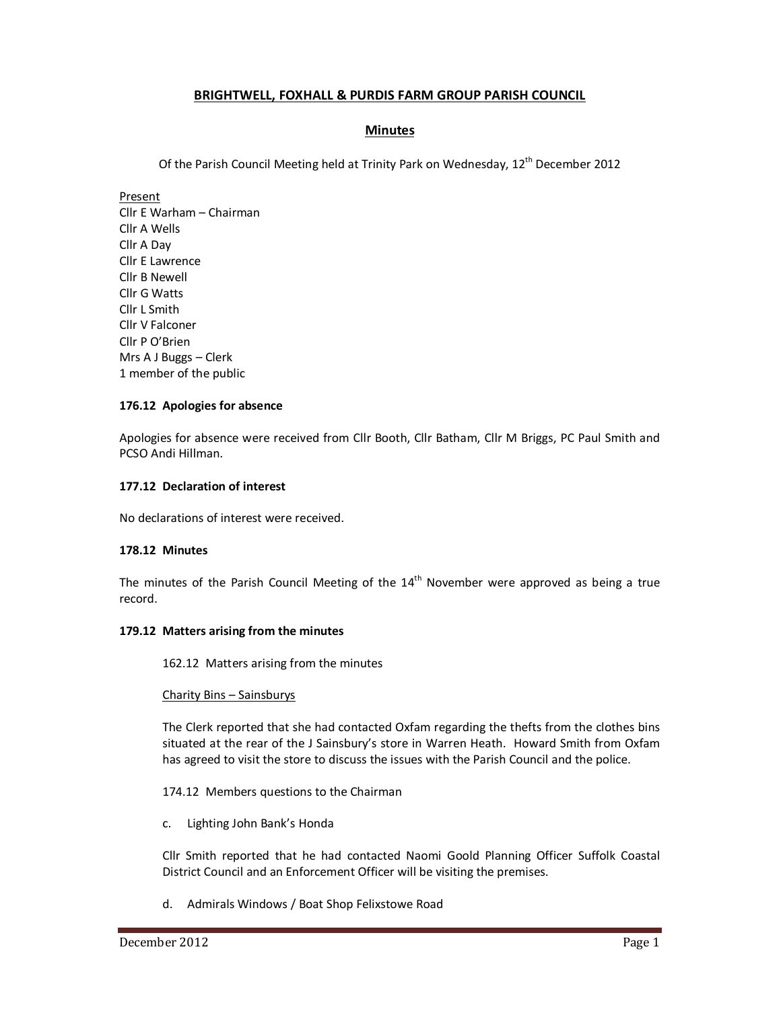# **BRIGHTWELL, FOXHALL & PURDIS FARM GROUP PARISH COUNCIL**

## **Minutes**

Of the Parish Council Meeting held at Trinity Park on Wednesday,  $12^{th}$  December 2012

Present Cllr E Warham – Chairman Cllr A Wells Cllr A Day Cllr E Lawrence Cllr B Newell Cllr G Watts Cllr L Smith Cllr V Falconer Cllr P O'Brien Mrs A J Buggs – Clerk 1 member of the public

### **176.12 Apologies for absence**

Apologies for absence were received from Cllr Booth, Cllr Batham, Cllr M Briggs, PC Paul Smith and PCSO Andi Hillman.

### **177.12 Declaration of interest**

No declarations of interest were received.

### **178.12 Minutes**

The minutes of the Parish Council Meeting of the  $14<sup>th</sup>$  November were approved as being a true record.

### **179.12 Matters arising from the minutes**

162.12 Matters arising from the minutes

#### Charity Bins – Sainsburys

The Clerk reported that she had contacted Oxfam regarding the thefts from the clothes bins situated at the rear of the J Sainsbury's store in Warren Heath. Howard Smith from Oxfam has agreed to visit the store to discuss the issues with the Parish Council and the police.

### 174.12 Members questions to the Chairman

c. Lighting John Bank's Honda

Cllr Smith reported that he had contacted Naomi Goold Planning Officer Suffolk Coastal District Council and an Enforcement Officer will be visiting the premises.

d. Admirals Windows / Boat Shop Felixstowe Road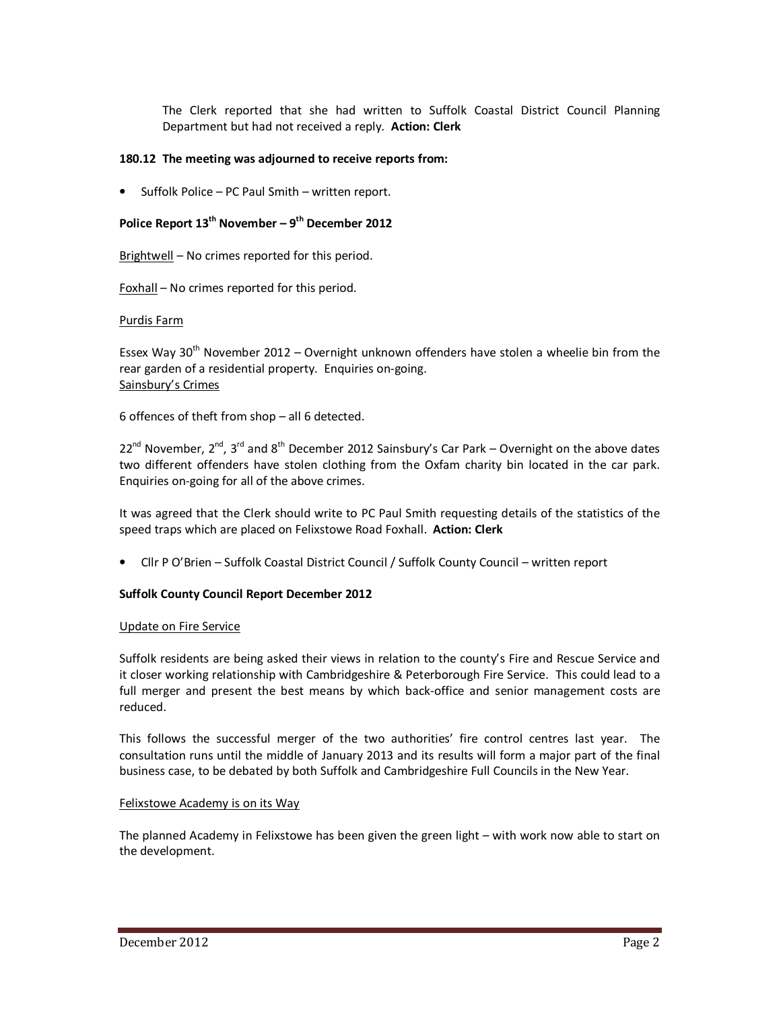The Clerk reported that she had written to Suffolk Coastal District Council Planning Department but had not received a reply. **Action: Clerk** 

### **180.12 The meeting was adjourned to receive reports from:**

• Suffolk Police – PC Paul Smith – written report.

# **Police Report 13th November – 9th December 2012**

Brightwell – No crimes reported for this period.

Foxhall – No crimes reported for this period.

### Purdis Farm

Essex Way 30<sup>th</sup> November 2012 – Overnight unknown offenders have stolen a wheelie bin from the rear garden of a residential property. Enquiries on-going. Sainsbury's Crimes

6 offences of theft from shop – all 6 detected.

 $22^{nd}$  November,  $2^{nd}$ ,  $3^{rd}$  and  $8^{th}$  December 2012 Sainsbury's Car Park – Overnight on the above dates two different offenders have stolen clothing from the Oxfam charity bin located in the car park. Enquiries on-going for all of the above crimes.

It was agreed that the Clerk should write to PC Paul Smith requesting details of the statistics of the speed traps which are placed on Felixstowe Road Foxhall. **Action: Clerk** 

• Cllr P O'Brien – Suffolk Coastal District Council / Suffolk County Council – written report

## **Suffolk County Council Report December 2012**

### Update on Fire Service

Suffolk residents are being asked their views in relation to the county's Fire and Rescue Service and it closer working relationship with Cambridgeshire & Peterborough Fire Service. This could lead to a full merger and present the best means by which back-office and senior management costs are reduced.

This follows the successful merger of the two authorities' fire control centres last year. The consultation runs until the middle of January 2013 and its results will form a major part of the final business case, to be debated by both Suffolk and Cambridgeshire Full Councils in the New Year.

### Felixstowe Academy is on its Way

The planned Academy in Felixstowe has been given the green light – with work now able to start on the development.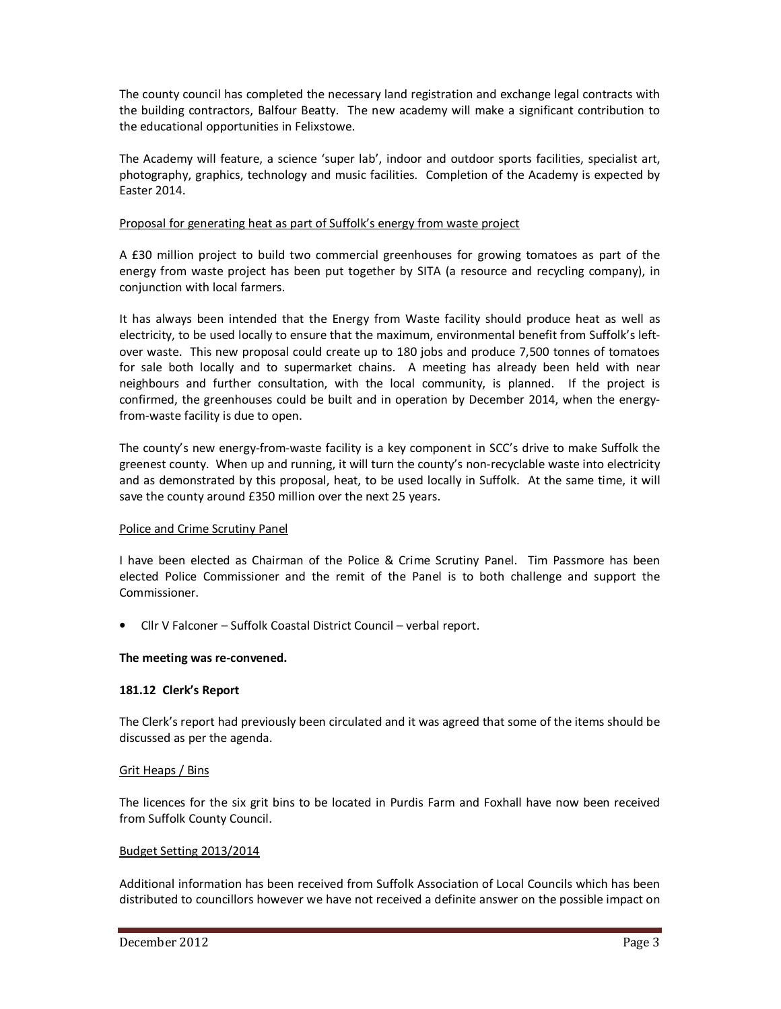The county council has completed the necessary land registration and exchange legal contracts with the building contractors, Balfour Beatty. The new academy will make a significant contribution to the educational opportunities in Felixstowe.

The Academy will feature, a science 'super lab', indoor and outdoor sports facilities, specialist art, photography, graphics, technology and music facilities. Completion of the Academy is expected by Easter 2014.

### Proposal for generating heat as part of Suffolk's energy from waste project

A £30 million project to build two commercial greenhouses for growing tomatoes as part of the energy from waste project has been put together by SITA (a resource and recycling company), in conjunction with local farmers.

It has always been intended that the Energy from Waste facility should produce heat as well as electricity, to be used locally to ensure that the maximum, environmental benefit from Suffolk's leftover waste. This new proposal could create up to 180 jobs and produce 7,500 tonnes of tomatoes for sale both locally and to supermarket chains. A meeting has already been held with near neighbours and further consultation, with the local community, is planned. If the project is confirmed, the greenhouses could be built and in operation by December 2014, when the energyfrom-waste facility is due to open.

The county's new energy-from-waste facility is a key component in SCC's drive to make Suffolk the greenest county. When up and running, it will turn the county's non-recyclable waste into electricity and as demonstrated by this proposal, heat, to be used locally in Suffolk. At the same time, it will save the county around £350 million over the next 25 years.

### Police and Crime Scrutiny Panel

I have been elected as Chairman of the Police & Crime Scrutiny Panel. Tim Passmore has been elected Police Commissioner and the remit of the Panel is to both challenge and support the Commissioner.

• Cllr V Falconer – Suffolk Coastal District Council – verbal report.

### **The meeting was re-convened.**

### **181.12 Clerk's Report**

The Clerk's report had previously been circulated and it was agreed that some of the items should be discussed as per the agenda.

### Grit Heaps / Bins

The licences for the six grit bins to be located in Purdis Farm and Foxhall have now been received from Suffolk County Council.

### Budget Setting 2013/2014

Additional information has been received from Suffolk Association of Local Councils which has been distributed to councillors however we have not received a definite answer on the possible impact on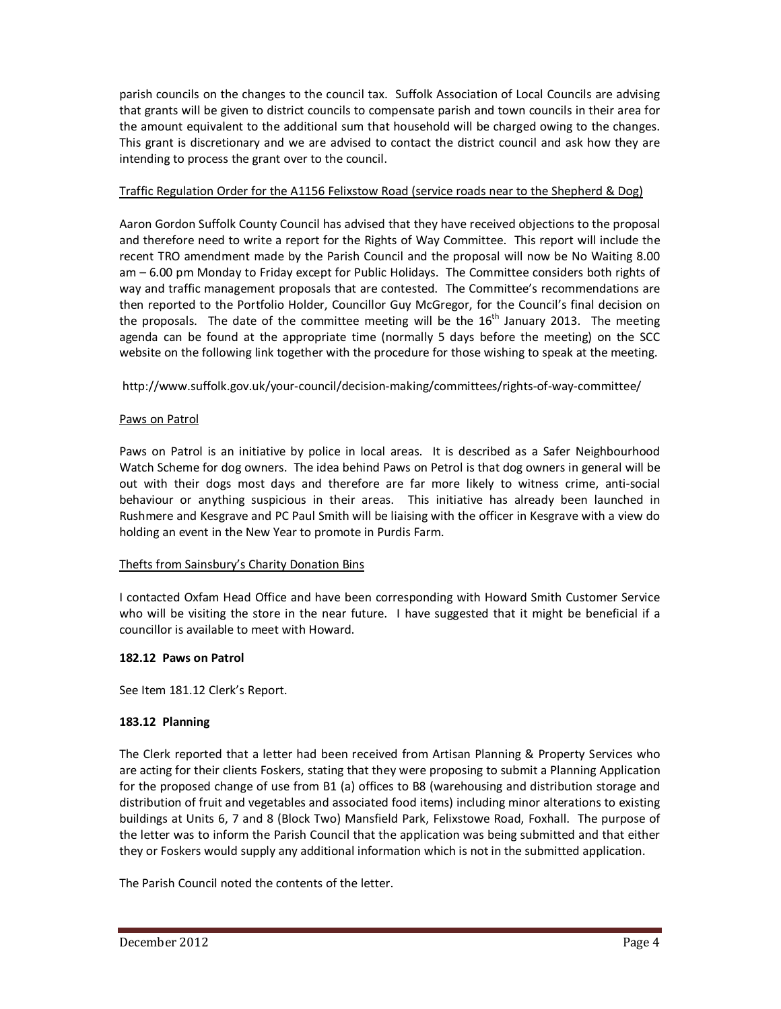parish councils on the changes to the council tax. Suffolk Association of Local Councils are advising that grants will be given to district councils to compensate parish and town councils in their area for the amount equivalent to the additional sum that household will be charged owing to the changes. This grant is discretionary and we are advised to contact the district council and ask how they are intending to process the grant over to the council.

## Traffic Regulation Order for the A1156 Felixstow Road (service roads near to the Shepherd & Dog)

Aaron Gordon Suffolk County Council has advised that they have received objections to the proposal and therefore need to write a report for the Rights of Way Committee. This report will include the recent TRO amendment made by the Parish Council and the proposal will now be No Waiting 8.00 am – 6.00 pm Monday to Friday except for Public Holidays. The Committee considers both rights of way and traffic management proposals that are contested. The Committee's recommendations are then reported to the Portfolio Holder, Councillor Guy McGregor, for the Council's final decision on the proposals. The date of the committee meeting will be the  $16<sup>th</sup>$  January 2013. The meeting agenda can be found at the appropriate time (normally 5 days before the meeting) on the SCC website on the following link together with the procedure for those wishing to speak at the meeting.

## http://www.suffolk.gov.uk/your-council/decision-making/committees/rights-of-way-committee/

### Paws on Patrol

Paws on Patrol is an initiative by police in local areas. It is described as a Safer Neighbourhood Watch Scheme for dog owners. The idea behind Paws on Petrol is that dog owners in general will be out with their dogs most days and therefore are far more likely to witness crime, anti-social behaviour or anything suspicious in their areas. This initiative has already been launched in Rushmere and Kesgrave and PC Paul Smith will be liaising with the officer in Kesgrave with a view do holding an event in the New Year to promote in Purdis Farm.

## Thefts from Sainsbury's Charity Donation Bins

I contacted Oxfam Head Office and have been corresponding with Howard Smith Customer Service who will be visiting the store in the near future. I have suggested that it might be beneficial if a councillor is available to meet with Howard.

### **182.12 Paws on Patrol**

See Item 181.12 Clerk's Report.

## **183.12 Planning**

The Clerk reported that a letter had been received from Artisan Planning & Property Services who are acting for their clients Foskers, stating that they were proposing to submit a Planning Application for the proposed change of use from B1 (a) offices to B8 (warehousing and distribution storage and distribution of fruit and vegetables and associated food items) including minor alterations to existing buildings at Units 6, 7 and 8 (Block Two) Mansfield Park, Felixstowe Road, Foxhall. The purpose of the letter was to inform the Parish Council that the application was being submitted and that either they or Foskers would supply any additional information which is not in the submitted application.

The Parish Council noted the contents of the letter.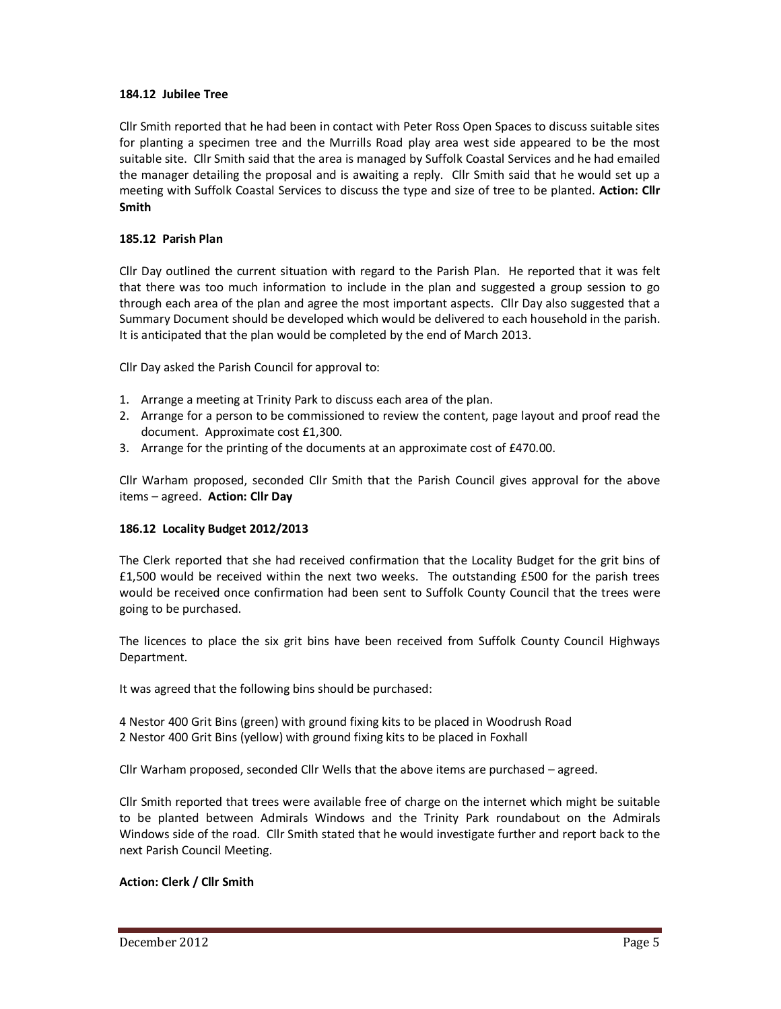### **184.12 Jubilee Tree**

Cllr Smith reported that he had been in contact with Peter Ross Open Spaces to discuss suitable sites for planting a specimen tree and the Murrills Road play area west side appeared to be the most suitable site. Cllr Smith said that the area is managed by Suffolk Coastal Services and he had emailed the manager detailing the proposal and is awaiting a reply. Cllr Smith said that he would set up a meeting with Suffolk Coastal Services to discuss the type and size of tree to be planted. **Action: Cllr Smith** 

### **185.12 Parish Plan**

Cllr Day outlined the current situation with regard to the Parish Plan. He reported that it was felt that there was too much information to include in the plan and suggested a group session to go through each area of the plan and agree the most important aspects. Cllr Day also suggested that a Summary Document should be developed which would be delivered to each household in the parish. It is anticipated that the plan would be completed by the end of March 2013.

Cllr Day asked the Parish Council for approval to:

- 1. Arrange a meeting at Trinity Park to discuss each area of the plan.
- 2. Arrange for a person to be commissioned to review the content, page layout and proof read the document. Approximate cost £1,300.
- 3. Arrange for the printing of the documents at an approximate cost of £470.00.

Cllr Warham proposed, seconded Cllr Smith that the Parish Council gives approval for the above items – agreed. **Action: Cllr Day**

### **186.12 Locality Budget 2012/2013**

The Clerk reported that she had received confirmation that the Locality Budget for the grit bins of £1,500 would be received within the next two weeks. The outstanding £500 for the parish trees would be received once confirmation had been sent to Suffolk County Council that the trees were going to be purchased.

The licences to place the six grit bins have been received from Suffolk County Council Highways Department.

It was agreed that the following bins should be purchased:

4 Nestor 400 Grit Bins (green) with ground fixing kits to be placed in Woodrush Road 2 Nestor 400 Grit Bins (yellow) with ground fixing kits to be placed in Foxhall

Cllr Warham proposed, seconded Cllr Wells that the above items are purchased – agreed.

Cllr Smith reported that trees were available free of charge on the internet which might be suitable to be planted between Admirals Windows and the Trinity Park roundabout on the Admirals Windows side of the road. Cllr Smith stated that he would investigate further and report back to the next Parish Council Meeting.

## **Action: Clerk / Cllr Smith**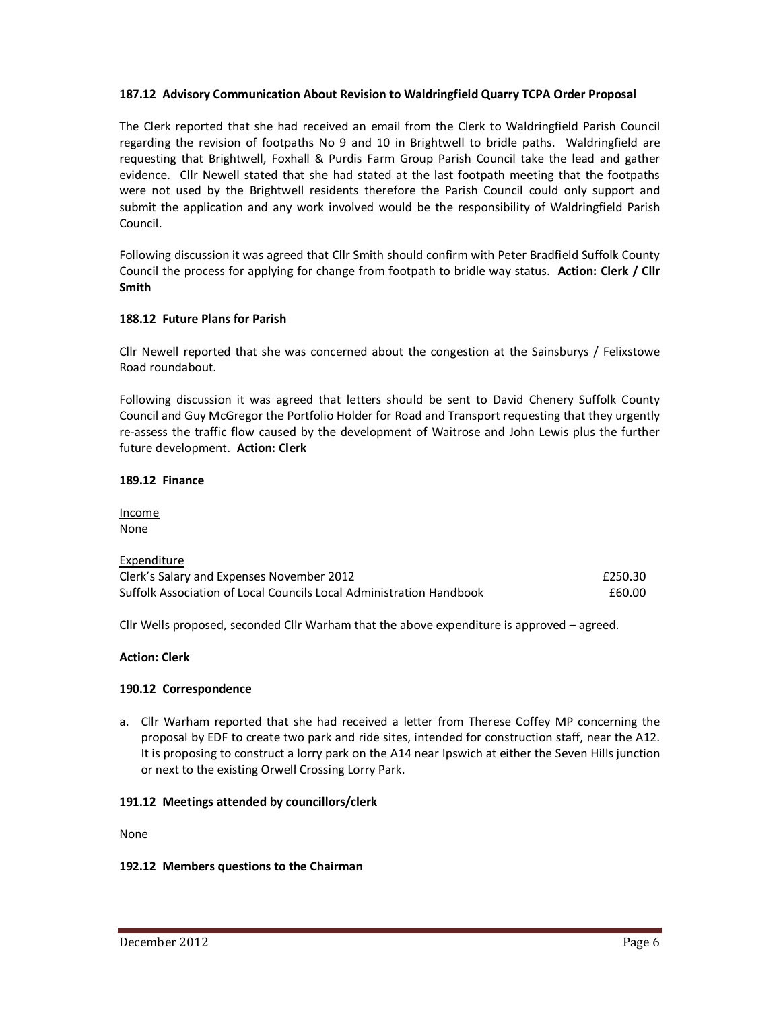### **187.12 Advisory Communication About Revision to Waldringfield Quarry TCPA Order Proposal**

The Clerk reported that she had received an email from the Clerk to Waldringfield Parish Council regarding the revision of footpaths No 9 and 10 in Brightwell to bridle paths. Waldringfield are requesting that Brightwell, Foxhall & Purdis Farm Group Parish Council take the lead and gather evidence. Cllr Newell stated that she had stated at the last footpath meeting that the footpaths were not used by the Brightwell residents therefore the Parish Council could only support and submit the application and any work involved would be the responsibility of Waldringfield Parish Council.

Following discussion it was agreed that Cllr Smith should confirm with Peter Bradfield Suffolk County Council the process for applying for change from footpath to bridle way status. **Action: Clerk / Cllr Smith** 

### **188.12 Future Plans for Parish**

Cllr Newell reported that she was concerned about the congestion at the Sainsburys / Felixstowe Road roundabout.

Following discussion it was agreed that letters should be sent to David Chenery Suffolk County Council and Guy McGregor the Portfolio Holder for Road and Transport requesting that they urgently re-assess the traffic flow caused by the development of Waitrose and John Lewis plus the further future development. **Action: Clerk** 

### **189.12 Finance**

Income None

| Expenditure                                                         |         |
|---------------------------------------------------------------------|---------|
| Clerk's Salary and Expenses November 2012                           | £250.30 |
| Suffolk Association of Local Councils Local Administration Handbook | £60.00  |

Cllr Wells proposed, seconded Cllr Warham that the above expenditure is approved – agreed.

### **Action: Clerk**

### **190.12 Correspondence**

a. Cllr Warham reported that she had received a letter from Therese Coffey MP concerning the proposal by EDF to create two park and ride sites, intended for construction staff, near the A12. It is proposing to construct a lorry park on the A14 near Ipswich at either the Seven Hills junction or next to the existing Orwell Crossing Lorry Park.

### **191.12 Meetings attended by councillors/clerk**

None

### **192.12 Members questions to the Chairman**